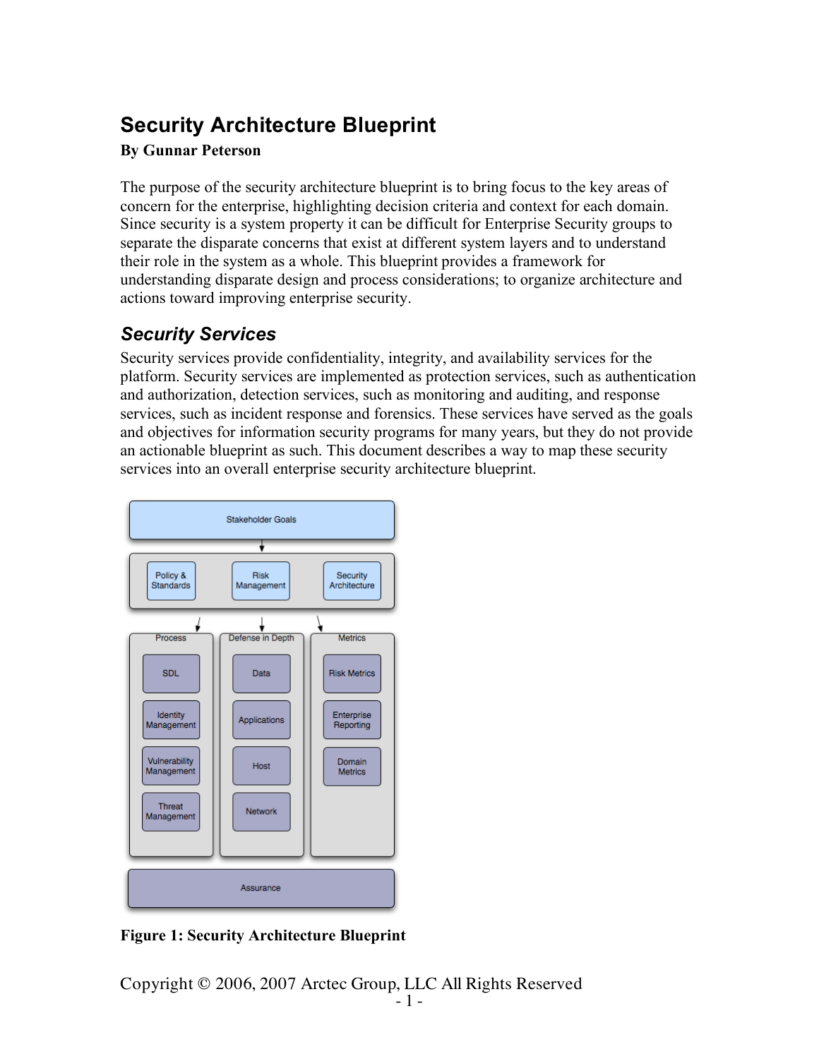# **Security Architecture Blueprint**

#### **By Gunnar Peterson**

The purpose of the security architecture blueprint is to bring focus to the key areas of concern for the enterprise, highlighting decision criteria and context for each domain. Since security is a system property it can be difficult for Enterprise Security groups to separate the disparate concerns that exist at different system layers and to understand their role in the system as a whole. This blueprint provides a framework for understanding disparate design and process considerations; to organize architecture and actions toward improving enterprise security.

# *Security Services*

Security services provide confidentiality, integrity, and availability services for the platform. Security services are implemented as protection services, such as authentication and authorization, detection services, such as monitoring and auditing, and response services, such as incident response and forensics. These services have served as the goals and objectives for information security programs for many years, but they do not provide an actionable blueprint as such. This document describes a way to map these security services into an overall enterprise security architecture blueprint.



**Figure 1: Security Architecture Blueprint**

Copyright © 2006, 2007 Arctec Group, LLC All Rights Reserved - <sup>1</sup> -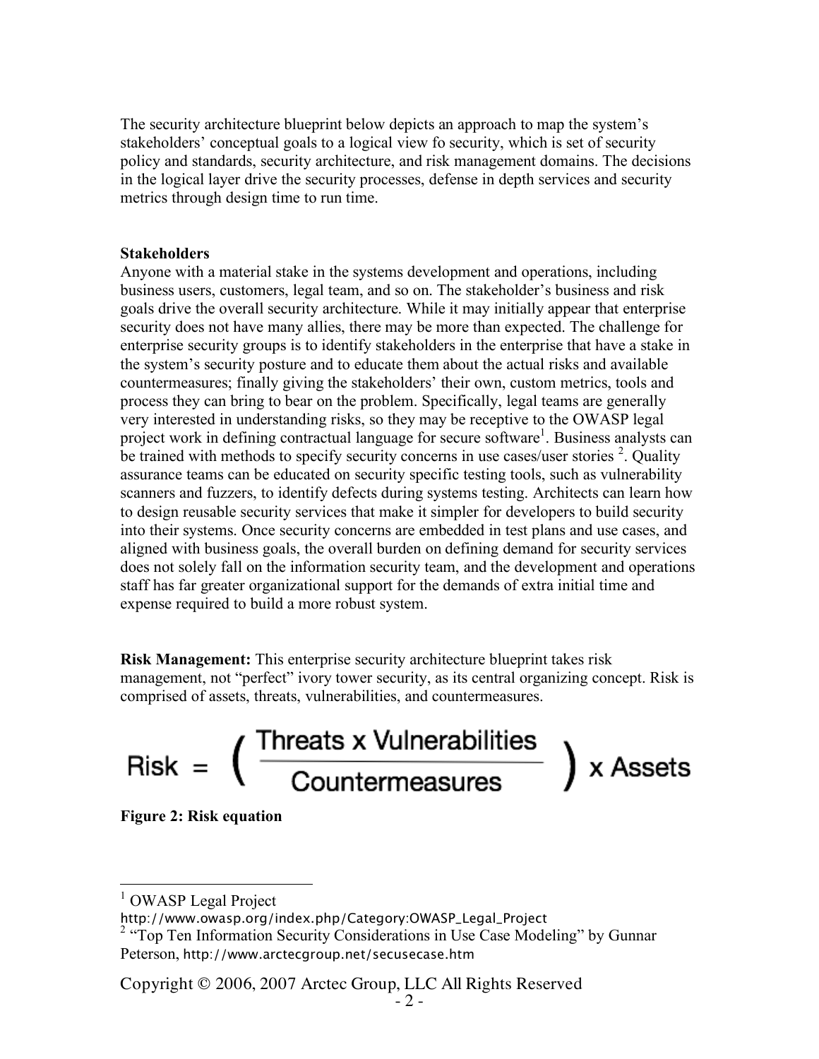The security architecture blueprint below depicts an approach to map the system's stakeholders' conceptual goals to a logical view fo security, which is set of security policy and standards, security architecture, and risk management domains. The decisions in the logical layer drive the security processes, defense in depth services and security metrics through design time to run time.

#### **Stakeholders**

Anyone with a material stake in the systems development and operations, including business users, customers, legal team, and so on. The stakeholder's business and risk goals drive the overall security architecture. While it may initially appear that enterprise security does not have many allies, there may be more than expected. The challenge for enterprise security groups is to identify stakeholders in the enterprise that have a stake in the system's security posture and to educate them about the actual risks and available countermeasures; finally giving the stakeholders' their own, custom metrics, tools and process they can bring to bear on the problem. Specifically, legal teams are generally very interested in understanding risks, so they may be receptive to the OWASP legal project work in defining contractual language for secure software<sup>1</sup>. Business analysts can be trained with methods to specify security concerns in use cases/user stories <sup>2</sup>. Quality assurance teams can be educated on security specific testing tools, such as vulnerability scanners and fuzzers, to identify defects during systems testing. Architects can learn how to design reusable security services that make it simpler for developers to build security into their systems. Once security concerns are embedded in test plans and use cases, and aligned with business goals, the overall burden on defining demand for security services does not solely fall on the information security team, and the development and operations staff has far greater organizational support for the demands of extra initial time and expense required to build a more robust system.

**Risk Management:** This enterprise security architecture blueprint takes risk management, not "perfect" ivory tower security, as its central organizing concept. Risk is comprised of assets, threats, vulnerabilities, and countermeasures.

Risk = 
$$
\left(\frac{\text{Threats x Vulnerabilities}}{\text{Countermeasures}}\right) \times \text{Assets}
$$

**Figure 2: Risk equation**

Copyright © 2006, 2007 Arctec Group, LLC All Rights Reserved - <sup>2</sup> -

**OWASP Legal Project** 

http://www.owasp.org/index.php/Category:OWASP\_Legal\_Project

 $2$  "Top Ten Information Security Considerations in Use Case Modeling" by Gunnar Peterson, http://www.arctecgroup.net/secusecase.htm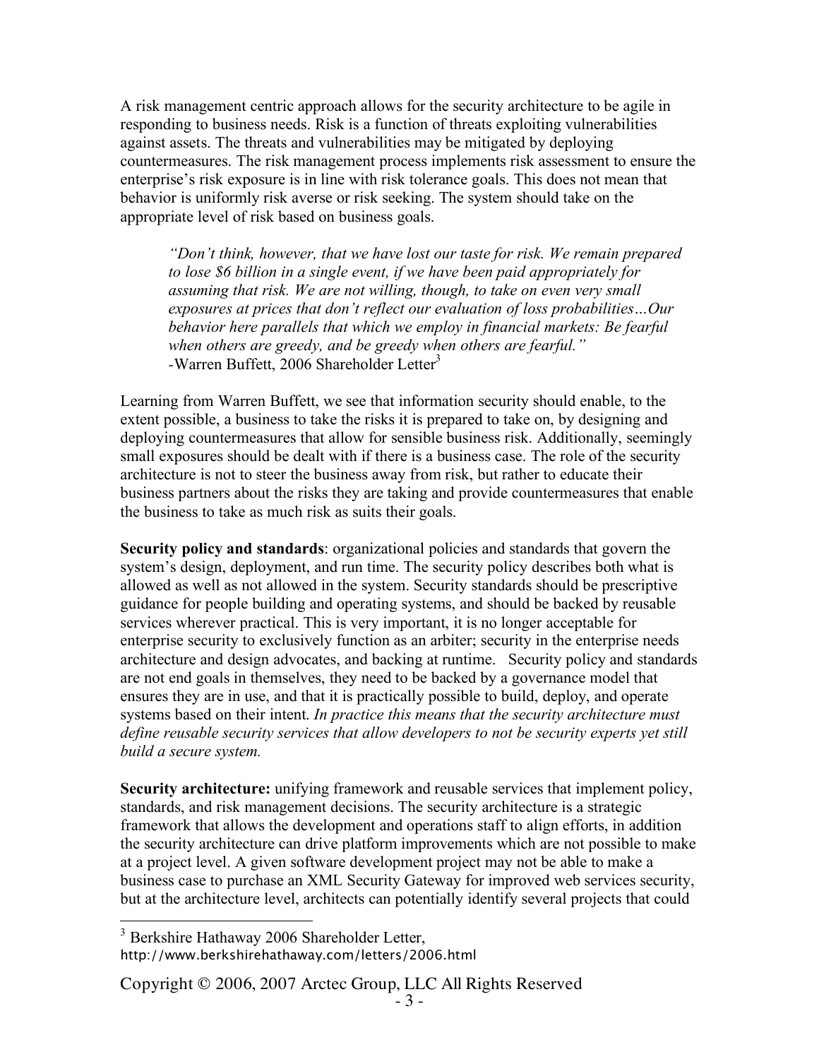A risk management centric approach allows for the security architecture to be agile in responding to business needs. Risk is a function of threats exploiting vulnerabilities against assets. The threats and vulnerabilities may be mitigated by deploying countermeasures. The risk management process implements risk assessment to ensure the enterprise's risk exposure is in line with risk tolerance goals. This does not mean that behavior is uniformly risk averse or risk seeking. The system should take on the appropriate level of risk based on business goals.

*"Don't think, however, that we have lost our taste for risk. We remain prepared to lose \$6 billion in a single event, if we have been paid appropriately for assuming that risk. We are not willing, though, to take on even very small exposures at prices that don't reflect our evaluation of loss probabilities…Our behavior here parallels that which we employ in financial markets: Be fearful when others are greedy, and be greedy when others are fearful." -*Warren Buffett, 2006 Shareholder Letter 3

Learning from Warren Buffett, we see that information security should enable, to the extent possible, a business to take the risks it is prepared to take on, by designing and deploying countermeasures that allow for sensible business risk. Additionally, seemingly small exposures should be dealt with if there is a business case. The role of the security architecture is not to steer the business away from risk, but rather to educate their business partners about the risks they are taking and provide countermeasures that enable the business to take as much risk as suits their goals.

**Security policy and standards**: organizational policies and standards that govern the system's design, deployment, and run time. The security policy describes both what is allowed as well as not allowed in the system. Security standards should be prescriptive guidance for people building and operating systems, and should be backed by reusable services wherever practical. This is very important, it is no longer acceptable for enterprise security to exclusively function as an arbiter; security in the enterprise needs architecture and design advocates, and backing at runtime. Security policy and standards are not end goals in themselves, they need to be backed by a governance model that ensures they are in use, and that it is practically possible to build, deploy, and operate systems based on their intent. *In practice this means that the security architecture must define reusable security services that allow developers to not be security experts yet still build a secure system.*

**Security architecture:** unifying framework and reusable services that implement policy, standards, and risk management decisions. The security architecture is a strategic framework that allows the development and operations staff to align efforts, in addition the security architecture can drive platform improvements which are not possible to make at a project level. A given software development project may not be able to make a business case to purchase an XML Security Gateway for improved web services security, but at the architecture level, architects can potentially identify several projects that could

 <sup>3</sup> Berkshire Hathaway 2006 Shareholder Letter, http://www.berkshirehathaway.com/letters/2006.html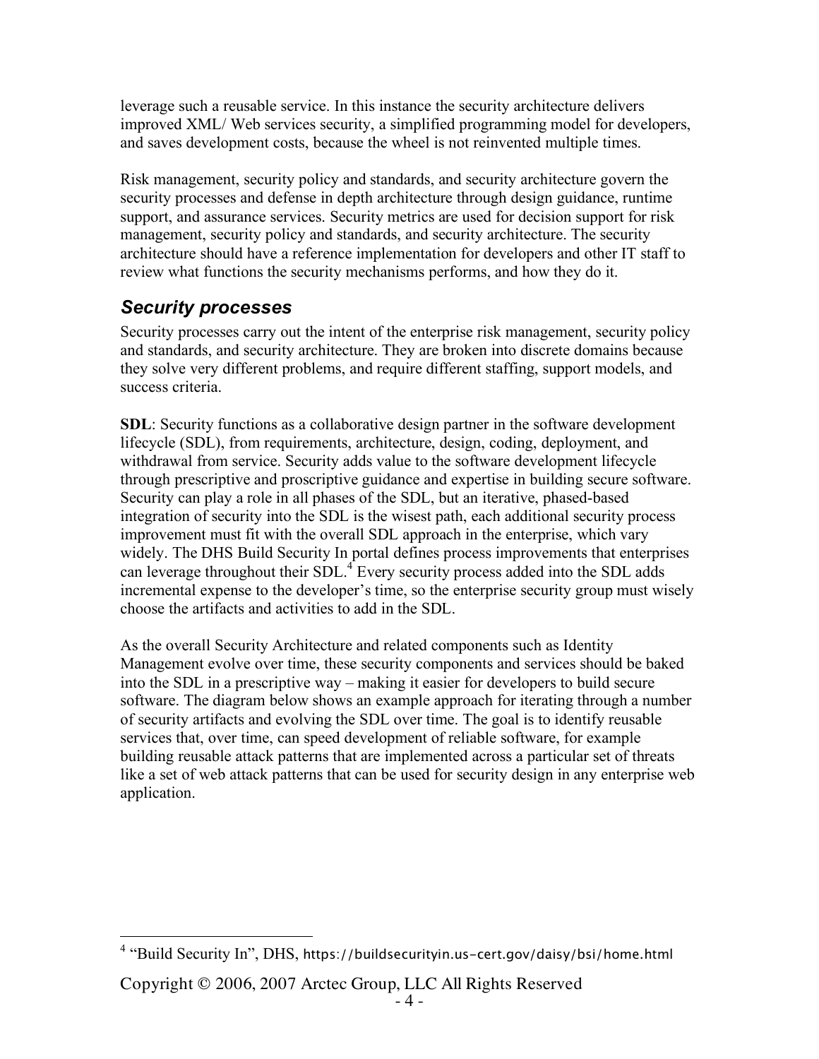leverage such a reusable service. In this instance the security architecture delivers improved XML/ Web services security, a simplified programming model for developers, and saves development costs, because the wheel is not reinvented multiple times.

Risk management, security policy and standards, and security architecture govern the security processes and defense in depth architecture through design guidance, runtime support, and assurance services. Security metrics are used for decision support for risk management, security policy and standards, and security architecture. The security architecture should have a reference implementation for developers and other IT staff to review what functions the security mechanisms performs, and how they do it.

# *Security processes*

Security processes carry out the intent of the enterprise risk management, security policy and standards, and security architecture. They are broken into discrete domains because they solve very different problems, and require different staffing, support models, and success criteria.

**SDL**: Security functions as a collaborative design partner in the software development lifecycle (SDL), from requirements, architecture, design, coding, deployment, and withdrawal from service. Security adds value to the software development lifecycle through prescriptive and proscriptive guidance and expertise in building secure software. Security can play a role in all phases of the SDL, but an iterative, phased-based integration of security into the SDL is the wisest path, each additional security process improvement must fit with the overall SDL approach in the enterprise, which vary widely. The DHS Build Security In portal defines process improvements that enterprises can leverage throughout their SDL.<sup>4</sup> Every security process added into the SDL adds incremental expense to the developer's time, so the enterprise security group must wisely choose the artifacts and activities to add in the SDL.

As the overall Security Architecture and related components such as Identity Management evolve over time, these security components and services should be baked into the SDL in a prescriptive way – making it easier for developers to build secure software. The diagram below shows an example approach for iterating through a number of security artifacts and evolving the SDL over time. The goal is to identify reusable services that, over time, can speed development of reliable software, for example building reusable attack patterns that are implemented across a particular set of threats like a set of web attack patterns that can be used for security design in any enterprise web application.

 <sup>4</sup> "Build Security In", DHS, https://buildsecurityin.us-cert.gov/daisy/bsi/home.html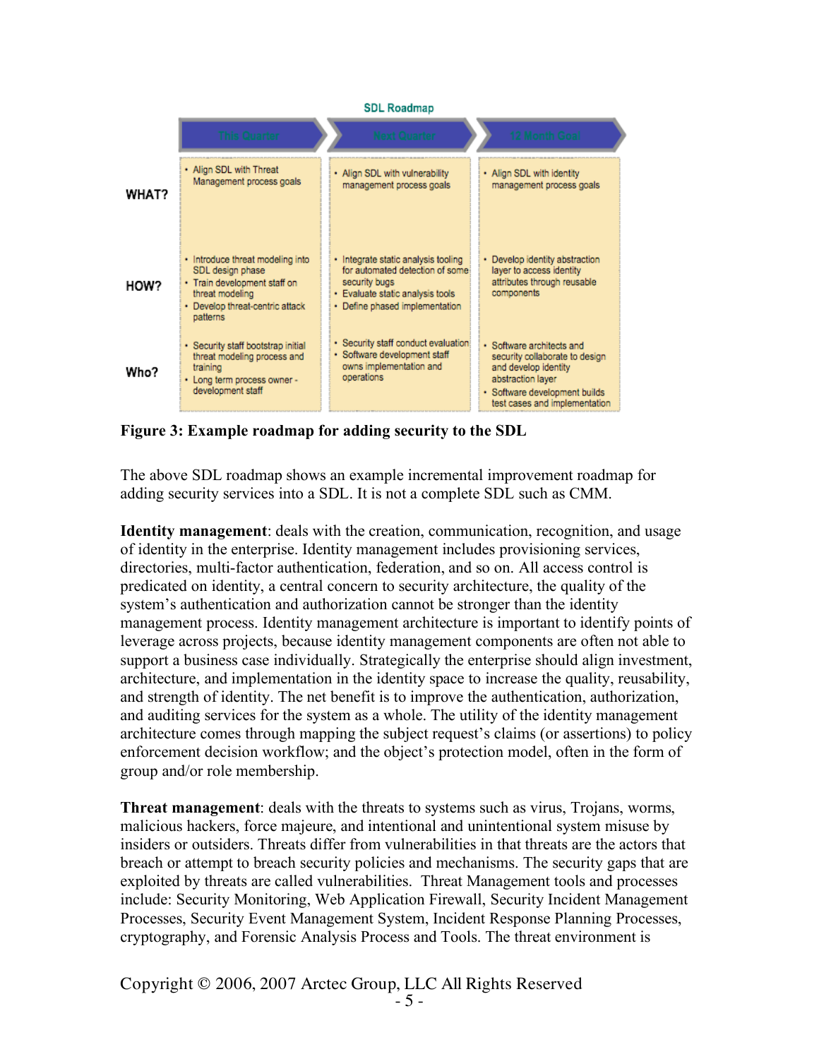#### **SDL Roadmap**

|              | <b>This Quarter</b>                                                                                                                                    | 12 Month Goal<br><b>Next Quarter</b>                                                                                                                                                                                                                                                       |
|--------------|--------------------------------------------------------------------------------------------------------------------------------------------------------|--------------------------------------------------------------------------------------------------------------------------------------------------------------------------------------------------------------------------------------------------------------------------------------------|
| <b>WHAT?</b> | • Align SDL with Threat<br>Management process goals                                                                                                    | . Align SDL with vulnerability<br>• Align SDL with identity<br>management process goals<br>management process goals                                                                                                                                                                        |
| HOW?         | • Introduce threat modeling into<br>SDL design phase<br>• Train development staff on<br>threat modeling<br>• Develop threat-centric attack<br>patterns | · Integrate static analysis tooling<br>• Develop identity abstraction<br>for automated detection of some<br>layer to access identity<br>attributes through reusable<br>security bugs<br>components<br>• Evaluate static analysis tools<br>• Define phased implementation                   |
| Who?         | · Security staff bootstrap initial<br>threat modeling process and<br>training<br>• Long term process owner -<br>development staff                      | · Security staff conduct evaluation<br>· Software architects and<br>· Software development staff<br>security collaborate to design<br>owns implementation and<br>and develop identity<br>operations<br>abstraction layer<br>· Software development builds<br>test cases and implementation |

**Figure 3: Example roadmap for adding security to the SDL**

The above SDL roadmap shows an example incremental improvement roadmap for adding security services into a SDL. It is not a complete SDL such as CMM.

**Identity management**: deals with the creation, communication, recognition, and usage of identity in the enterprise. Identity management includes provisioning services, directories, multi-factor authentication, federation, and so on. All access control is predicated on identity, a central concern to security architecture, the quality of the system's authentication and authorization cannot be stronger than the identity management process. Identity management architecture is important to identify points of leverage across projects, because identity management components are often not able to support a business case individually. Strategically the enterprise should align investment, architecture, and implementation in the identity space to increase the quality, reusability, and strength of identity. The net benefit is to improve the authentication, authorization, and auditing services for the system as a whole. The utility of the identity management architecture comes through mapping the subject request's claims (or assertions) to policy enforcement decision workflow; and the object's protection model, often in the form of group and/or role membership.

**Threat management**: deals with the threats to systems such as virus, Trojans, worms, malicious hackers, force majeure, and intentional and unintentional system misuse by insiders or outsiders. Threats differ from vulnerabilities in that threats are the actors that breach or attempt to breach security policies and mechanisms. The security gaps that are exploited by threats are called vulnerabilities. Threat Management tools and processes include: Security Monitoring, Web Application Firewall, Security Incident Management Processes, Security Event Management System, Incident Response Planning Processes, cryptography, and Forensic Analysis Process and Tools. The threat environment is

Copyright © 2006, 2007 Arctec Group, LLC All Rights Reserved - <sup>5</sup> -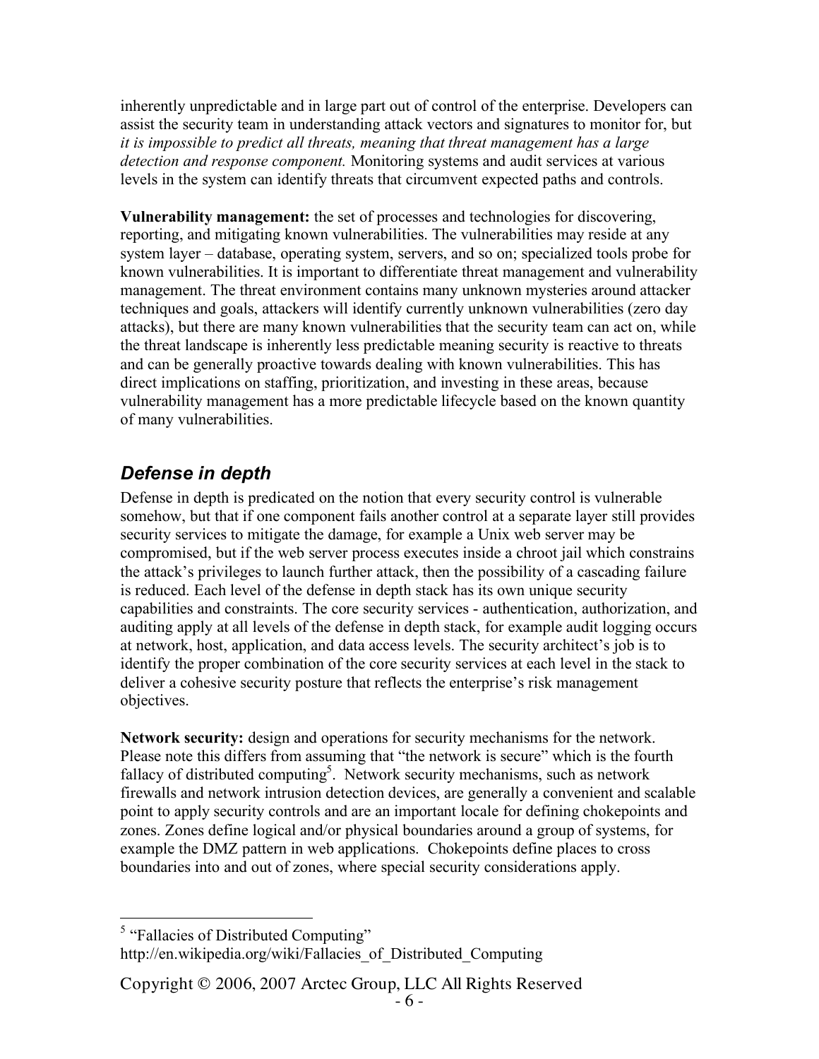inherently unpredictable and in large part out of control of the enterprise. Developers can assist the security team in understanding attack vectors and signatures to monitor for, but *it is impossible to predict all threats, meaning that threat management has a large detection and response component.* Monitoring systems and audit services at various levels in the system can identify threats that circumvent expected paths and controls.

**Vulnerability management:** the set of processes and technologies for discovering, reporting, and mitigating known vulnerabilities. The vulnerabilities may reside at any system layer – database, operating system, servers, and so on; specialized tools probe for known vulnerabilities. It is important to differentiate threat management and vulnerability management. The threat environment contains many unknown mysteries around attacker techniques and goals, attackers will identify currently unknown vulnerabilities (zero day attacks), but there are many known vulnerabilities that the security team can act on, while the threat landscape is inherently less predictable meaning security is reactive to threats and can be generally proactive towards dealing with known vulnerabilities. This has direct implications on staffing, prioritization, and investing in these areas, because vulnerability management has a more predictable lifecycle based on the known quantity of many vulnerabilities.

## *Defense in depth*

Defense in depth is predicated on the notion that every security control is vulnerable somehow, but that if one component fails another control at a separate layer still provides security services to mitigate the damage, for example a Unix web server may be compromised, but if the web server process executes inside a chroot jail which constrains the attack's privileges to launch further attack, then the possibility of a cascading failure is reduced. Each level of the defense in depth stack has its own unique security capabilities and constraints. The core security services - authentication, authorization, and auditing apply at all levels of the defense in depth stack, for example audit logging occurs at network, host, application, and data access levels. The security architect's job is to identify the proper combination of the core security services at each level in the stack to deliver a cohesive security posture that reflects the enterprise's risk management objectives.

**Network security:** design and operations for security mechanisms for the network. Please note this differs from assuming that "the network is secure" which is the fourth fallacy of distributed computing<sup>5</sup>. Network security mechanisms, such as network firewalls and network intrusion detection devices, are generally a convenient and scalable point to apply security controls and are an important locale for defining chokepoints and zones. Zones define logical and/or physical boundaries around a group of systems, for example the DMZ pattern in web applications. Chokepoints define places to cross boundaries into and out of zones, where special security considerations apply.

 $<sup>5</sup>$  "Fallacies of Distributed Computing"</sup> http://en.wikipedia.org/wiki/Fallacies\_of\_Distributed\_Computing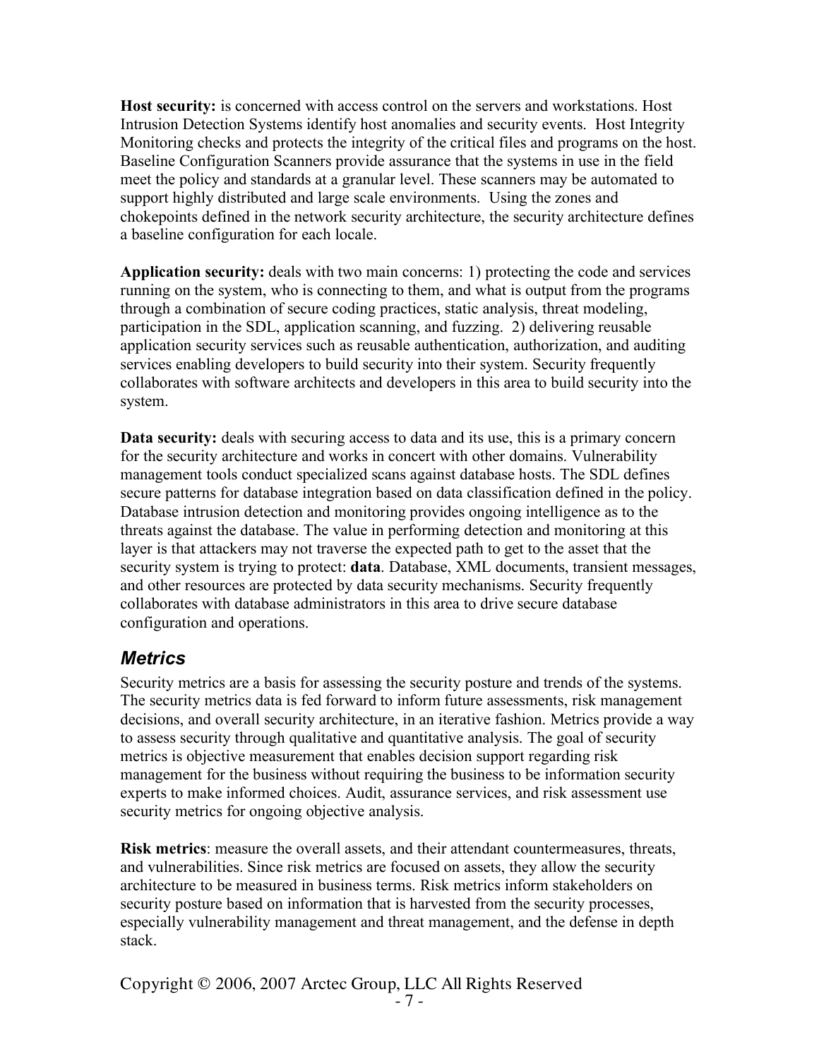**Host security:** is concerned with access control on the servers and workstations. Host Intrusion Detection Systems identify host anomalies and security events. Host Integrity Monitoring checks and protects the integrity of the critical files and programs on the host. Baseline Configuration Scanners provide assurance that the systems in use in the field meet the policy and standards at a granular level. These scanners may be automated to support highly distributed and large scale environments. Using the zones and chokepoints defined in the network security architecture, the security architecture defines a baseline configuration for each locale.

**Application security:** deals with two main concerns: 1) protecting the code and services running on the system, who is connecting to them, and what is output from the programs through a combination of secure coding practices, static analysis, threat modeling, participation in the SDL, application scanning, and fuzzing. 2) delivering reusable application security services such as reusable authentication, authorization, and auditing services enabling developers to build security into their system. Security frequently collaborates with software architects and developers in this area to build security into the system.

**Data security:** deals with securing access to data and its use, this is a primary concern for the security architecture and works in concert with other domains. Vulnerability management tools conduct specialized scans against database hosts. The SDL defines secure patterns for database integration based on data classification defined in the policy. Database intrusion detection and monitoring provides ongoing intelligence as to the threats against the database. The value in performing detection and monitoring at this layer is that attackers may not traverse the expected path to get to the asset that the security system is trying to protect: **data**. Database, XML documents, transient messages, and other resources are protected by data security mechanisms. Security frequently collaborates with database administrators in this area to drive secure database configuration and operations.

### *Metrics*

Security metrics are a basis for assessing the security posture and trends of the systems. The security metrics data is fed forward to inform future assessments, risk management decisions, and overall security architecture, in an iterative fashion. Metrics provide a way to assess security through qualitative and quantitative analysis. The goal of security metrics is objective measurement that enables decision support regarding risk management for the business without requiring the business to be information security experts to make informed choices. Audit, assurance services, and risk assessment use security metrics for ongoing objective analysis.

**Risk metrics**: measure the overall assets, and their attendant countermeasures, threats, and vulnerabilities. Since risk metrics are focused on assets, they allow the security architecture to be measured in business terms. Risk metrics inform stakeholders on security posture based on information that is harvested from the security processes, especially vulnerability management and threat management, and the defense in depth stack.

Copyright © 2006, 2007 Arctec Group, LLC All Rights Reserved - <sup>7</sup> -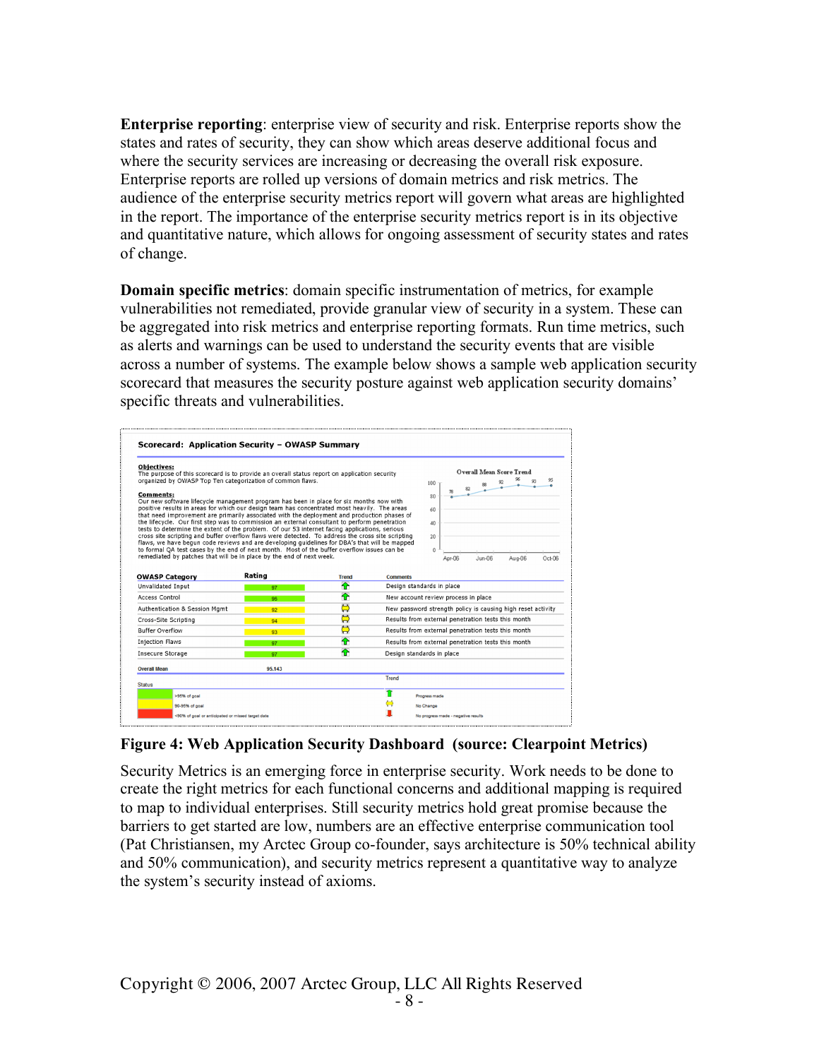**Enterprise reporting**: enterprise view of security and risk. Enterprise reports show the states and rates of security, they can show which areas deserve additional focus and where the security services are increasing or decreasing the overall risk exposure. Enterprise reports are rolled up versions of domain metrics and risk metrics. The audience of the enterprise security metrics report will govern what areas are highlighted in the report. The importance of the enterprise security metrics report is in its objective and quantitative nature, which allows for ongoing assessment of security states and rates of change.

**Domain specific metrics**: domain specific instrumentation of metrics, for example vulnerabilities not remediated, provide granular view of security in a system. These can be aggregated into risk metrics and enterprise reporting formats. Run time metrics, such as alerts and warnings can be used to understand the security events that are visible across a number of systems. The example below shows a sample web application security scorecard that measures the security posture against web application security domains' specific threats and vulnerabilities.

| <b>Objectives:</b><br>The purpose of this scorecard is to provide an overall status report on application security<br>organized by OWASP Top Ten categorization of common flaws.                                                                                                                                                                                                                                                                                                                                                                                                                                                                                                                                                                                                                                                                                                   |        |              |                 | <b>Overall Mean Score Trend</b><br>95<br>100                                       |  |
|------------------------------------------------------------------------------------------------------------------------------------------------------------------------------------------------------------------------------------------------------------------------------------------------------------------------------------------------------------------------------------------------------------------------------------------------------------------------------------------------------------------------------------------------------------------------------------------------------------------------------------------------------------------------------------------------------------------------------------------------------------------------------------------------------------------------------------------------------------------------------------|--------|--------------|-----------------|------------------------------------------------------------------------------------|--|
| Comments:<br>Our new software lifecycle management program has been in place for six months now with<br>positive results in areas for which our design team has concentrated most heavily. The areas<br>that need improvement are primarily associated with the deployment and production phases of<br>the lifecycle. Our first step was to commission an external consultant to perform penetration<br>tests to determine the extent of the problem. Of our 53 internet facing applications, serious<br>cross site scripting and buffer overflow flaws were detected. To address the cross site scripting<br>flaws, we have begun code reviews and are developing quidelines for DBA's that will be mapped<br>to formal QA test cases by the end of next month. Most of the buffer overflow issues can be<br>remediated by patches that will be in place by the end of next week. |        |              |                 | 82<br>80<br>60<br>40<br>20<br>$\Omega$<br>Aug-06<br>Apr-06<br>$Jun-06$<br>$Oct-06$ |  |
| <b>OWASP Category</b>                                                                                                                                                                                                                                                                                                                                                                                                                                                                                                                                                                                                                                                                                                                                                                                                                                                              | Rating | <b>Trend</b> | <b>Comments</b> |                                                                                    |  |
| Unvalidated Input                                                                                                                                                                                                                                                                                                                                                                                                                                                                                                                                                                                                                                                                                                                                                                                                                                                                  | 97     | 伓            |                 | Design standards in place                                                          |  |
| Access Control                                                                                                                                                                                                                                                                                                                                                                                                                                                                                                                                                                                                                                                                                                                                                                                                                                                                     | 96.    | ⇮            |                 | New account review process in place                                                |  |
| Authentication & Session Mgmt                                                                                                                                                                                                                                                                                                                                                                                                                                                                                                                                                                                                                                                                                                                                                                                                                                                      | 92     | Ö            |                 | New password strength policy is causing high reset activity                        |  |
|                                                                                                                                                                                                                                                                                                                                                                                                                                                                                                                                                                                                                                                                                                                                                                                                                                                                                    | 94     | Ö            |                 | Results from external penetration tests this month                                 |  |
|                                                                                                                                                                                                                                                                                                                                                                                                                                                                                                                                                                                                                                                                                                                                                                                                                                                                                    |        | Ö            |                 | Results from external penetration tests this month                                 |  |
|                                                                                                                                                                                                                                                                                                                                                                                                                                                                                                                                                                                                                                                                                                                                                                                                                                                                                    | 93     |              |                 |                                                                                    |  |
|                                                                                                                                                                                                                                                                                                                                                                                                                                                                                                                                                                                                                                                                                                                                                                                                                                                                                    | 97     | ⇑            |                 | Results from external penetration tests this month                                 |  |
|                                                                                                                                                                                                                                                                                                                                                                                                                                                                                                                                                                                                                                                                                                                                                                                                                                                                                    | 97     | ♠            |                 | Design standards in place                                                          |  |
|                                                                                                                                                                                                                                                                                                                                                                                                                                                                                                                                                                                                                                                                                                                                                                                                                                                                                    | 95.143 |              |                 |                                                                                    |  |
|                                                                                                                                                                                                                                                                                                                                                                                                                                                                                                                                                                                                                                                                                                                                                                                                                                                                                    |        |              | <b>Trend</b>    |                                                                                    |  |
| Cross-Site Scripting<br><b>Buffer Overflow</b><br><b>Injection Flaws</b><br><b>Insecure Storage</b><br><b>Overall Mean</b><br><b>Status</b><br>>95% of goal                                                                                                                                                                                                                                                                                                                                                                                                                                                                                                                                                                                                                                                                                                                        |        |              | T               | Progress made                                                                      |  |

**Figure 4: Web Application Security Dashboard (source: Clearpoint Metrics)**

Security Metrics is an emerging force in enterprise security. Work needs to be done to create the right metrics for each functional concerns and additional mapping is required to map to individual enterprises. Still security metrics hold great promise because the barriers to get started are low, numbers are an effective enterprise communication tool (Pat Christiansen, my Arctec Group co-founder, says architecture is 50% technical ability and 50% communication), and security metrics represent a quantitative way to analyze the system's security instead of axioms.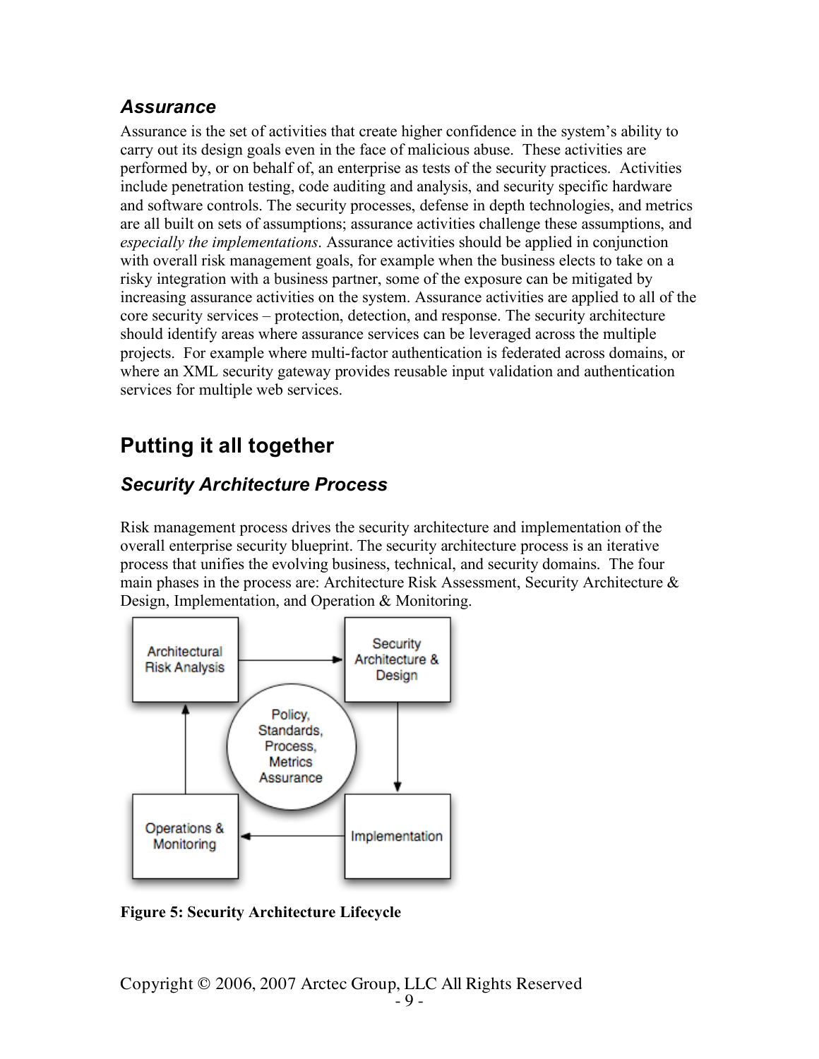### *Assurance*

Assurance is the set of activities that create higher confidence in the system's ability to carry out its design goals even in the face of malicious abuse. These activities are performed by, or on behalf of, an enterprise as tests of the security practices. Activities include penetration testing, code auditing and analysis, and security specific hardware and software controls. The security processes, defense in depth technologies, and metrics are all built on sets of assumptions; assurance activities challenge these assumptions, and *especially the implementations*. Assurance activities should be applied in conjunction with overall risk management goals, for example when the business elects to take on a risky integration with a business partner, some of the exposure can be mitigated by increasing assurance activities on the system. Assurance activities are applied to all of the core security services – protection, detection, and response. The security architecture should identify areas where assurance services can be leveraged across the multiple projects. For example where multi-factor authentication is federated across domains, or where an XML security gateway provides reusable input validation and authentication services for multiple web services.

# **Putting it all together**

## *Security Architecture Process*

Risk management process drives the security architecture and implementation of the overall enterprise security blueprint. The security architecture process is an iterative process that unifies the evolving business, technical, and security domains. The four main phases in the process are: Architecture Risk Assessment, Security Architecture & Design, Implementation, and Operation & Monitoring.



**Figure 5: Security Architecture Lifecycle**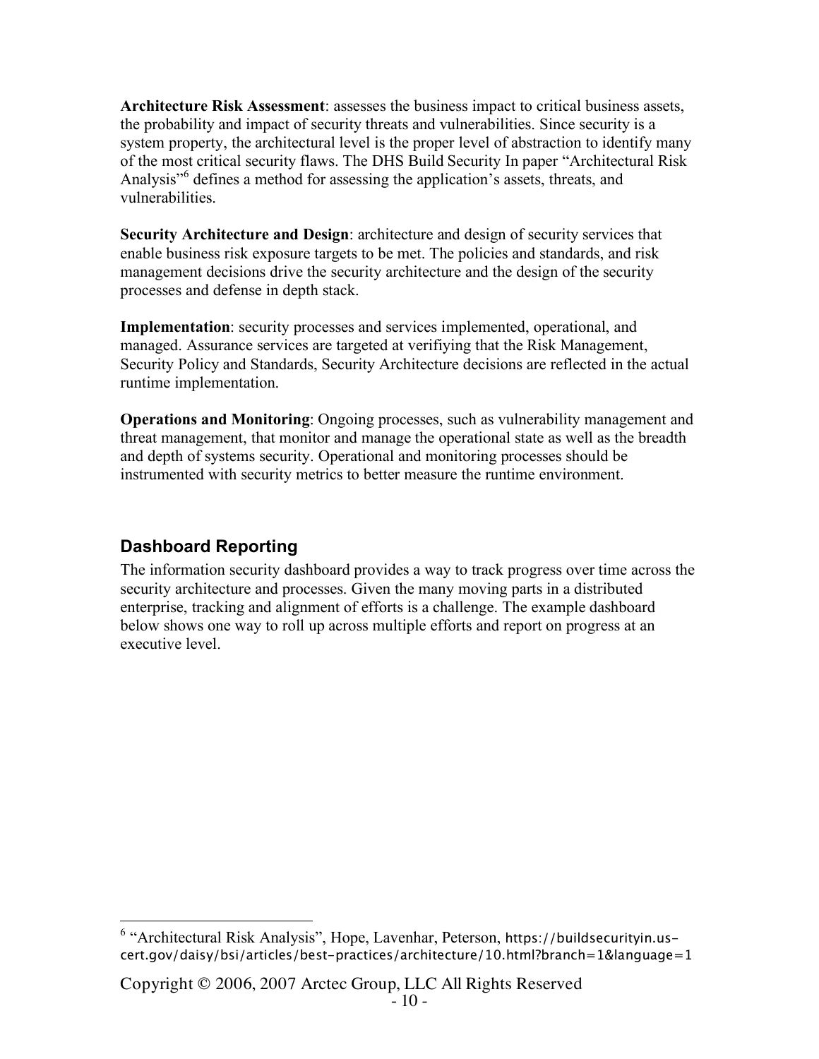**Architecture Risk Assessment**: assesses the business impact to critical business assets, the probability and impact of security threats and vulnerabilities. Since security is a system property, the architectural level is the proper level of abstraction to identify many of the most critical security flaws. The DHS Build Security In paper "Architectural Risk Analysis<sup>56</sup> defines a method for assessing the application's assets, threats, and vulnerabilities.

**Security Architecture and Design**: architecture and design of security services that enable business risk exposure targets to be met. The policies and standards, and risk management decisions drive the security architecture and the design of the security processes and defense in depth stack.

**Implementation**: security processes and services implemented, operational, and managed. Assurance services are targeted at verifiying that the Risk Management, Security Policy and Standards, Security Architecture decisions are reflected in the actual runtime implementation.

**Operations and Monitoring**: Ongoing processes, such as vulnerability management and threat management, that monitor and manage the operational state as well as the breadth and depth of systems security. Operational and monitoring processes should be instrumented with security metrics to better measure the runtime environment.

### **Dashboard Reporting**

The information security dashboard provides a way to track progress over time across the security architecture and processes. Given the many moving parts in a distributed enterprise, tracking and alignment of efforts is a challenge. The example dashboard below shows one way to roll up across multiple efforts and report on progress at an executive level.

 $6$  "Architectural Risk Analysis", Hope, Lavenhar, Peterson, https://buildsecurityin.uscert.gov/daisy/bsi/articles/best-practices/architecture/10.html?branch=1&language=1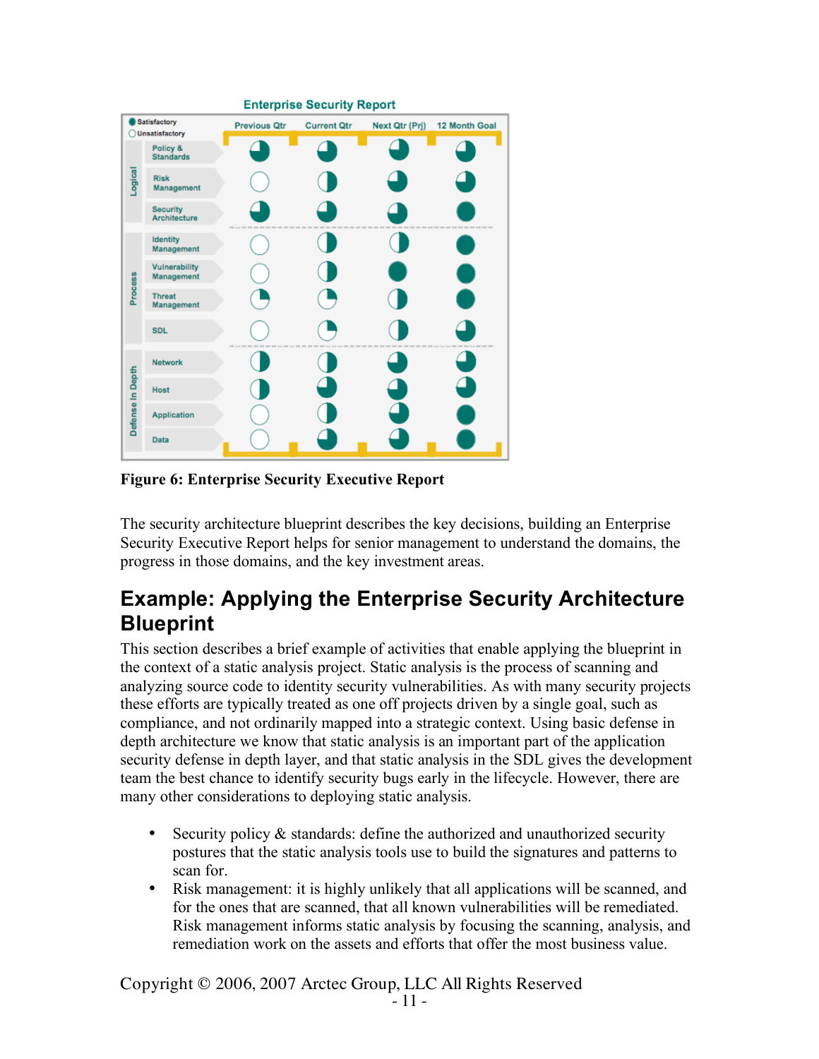

**Figure 6: Enterprise Security Executive Report**

The security architecture blueprint describes the key decisions, building an Enterprise Security Executive Report helps for senior management to understand the domains, the progress in those domains, and the key investment areas.

# **Example: Applying the Enterprise Security Architecture Blueprint**

This section describes a brief example of activities that enable applying the blueprint in the context of a static analysis project. Static analysis is the process of scanning and analyzing source code to identity security vulnerabilities. As with many security projects these efforts are typically treated as one off projects driven by a single goal, such as compliance, and not ordinarily mapped into a strategic context. Using basic defense in depth architecture we know that static analysis is an important part of the application security defense in depth layer, and that static analysis in the SDL gives the development team the best chance to identify security bugs early in the lifecycle. However, there are many other considerations to deploying static analysis.

- Security policy  $\&$  standards: define the authorized and unauthorized security postures that the static analysis tools use to build the signatures and patterns to scan for.
- Risk management: it is highly unlikely that all applications will be scanned, and for the ones that are scanned, that all known vulnerabilities will be remediated. Risk management informs static analysis by focusing the scanning, analysis, and remediation work on the assets and efforts that offer the most business value.

Copyright © 2006, 2007 Arctec Group, LLC All Rights Reserved - <sup>11</sup> -